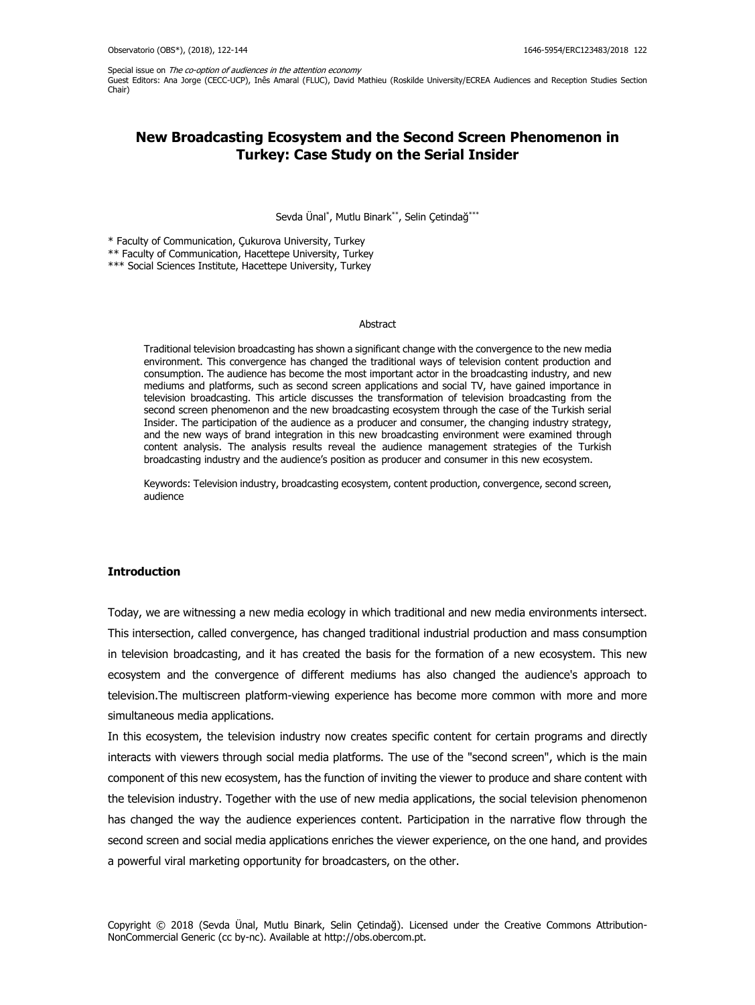Special issue on The co-option of audiences in the attention economy Guest Editors: Ana Jorge (CECC-UCP), Inês Amaral (FLUC), David Mathieu (Roskilde University/ECREA Audiences and Reception Studies Section Chair)

# **New Broadcasting Ecosystem and the Second Screen Phenomenon in Turkey: Case Study on the Serial Insider**

Sevda Ünal\* , Mutlu Binark\*\*, Selin Çetindağ\*\*\*

\* Faculty of Communication, Çukurova University, Turkey

\*\* Faculty of Communication, Hacettepe University, Turkey

\*\*\* Social Sciences Institute, Hacettepe University, Turkey

#### Abstract

Traditional television broadcasting has shown a significant change with the convergence to the new media environment. This convergence has changed the traditional ways of television content production and consumption. The audience has become the most important actor in the broadcasting industry, and new mediums and platforms, such as second screen applications and social TV, have gained importance in television broadcasting. This article discusses the transformation of television broadcasting from the second screen phenomenon and the new broadcasting ecosystem through the case of the Turkish serial Insider. The participation of the audience as a producer and consumer, the changing industry strategy, and the new ways of brand integration in this new broadcasting environment were examined through content analysis. The analysis results reveal the audience management strategies of the Turkish broadcasting industry and the audience's position as producer and consumer in this new ecosystem.

Keywords: Television industry, broadcasting ecosystem, content production, convergence, second screen, audience

# **Introduction**

Today, we are witnessing a new media ecology in which traditional and new media environments intersect. This intersection, called convergence, has changed traditional industrial production and mass consumption in television broadcasting, and it has created the basis for the formation of a new ecosystem. This new ecosystem and the convergence of different mediums has also changed the audience's approach to television.The multiscreen platform-viewing experience has become more common with more and more simultaneous media applications.

In this ecosystem, the television industry now creates specific content for certain programs and directly interacts with viewers through social media platforms. The use of the "second screen", which is the main component of this new ecosystem, has the function of inviting the viewer to produce and share content with the television industry. Together with the use of new media applications, the social television phenomenon has changed the way the audience experiences content. Participation in the narrative flow through the second screen and social media applications enriches the viewer experience, on the one hand, and provides a powerful viral marketing opportunity for broadcasters, on the other.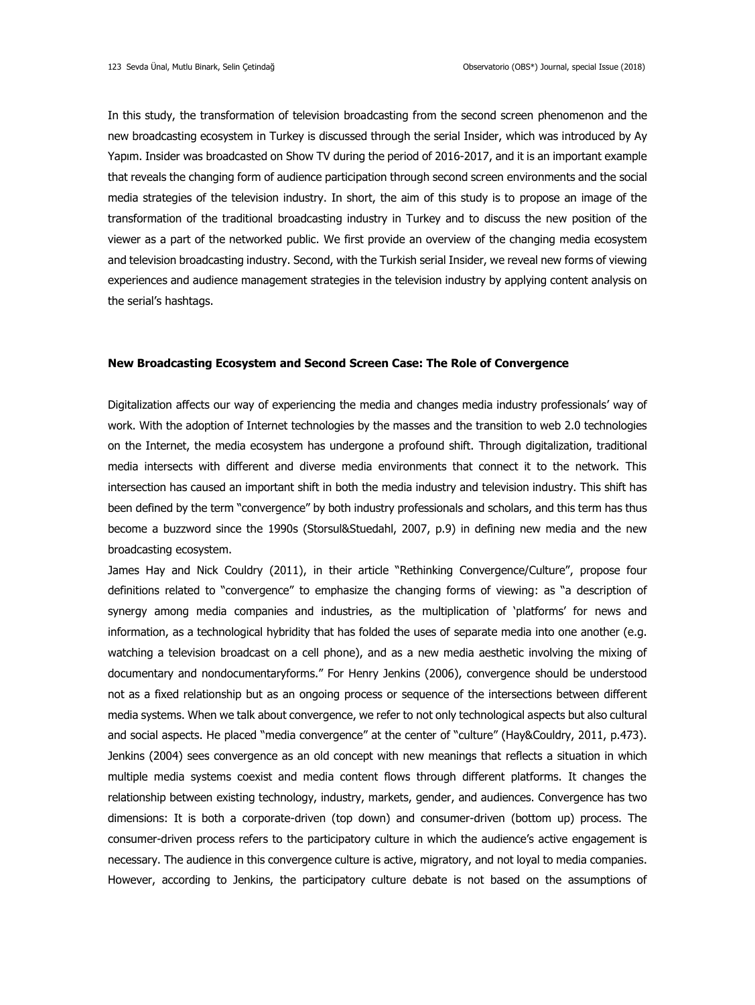In this study, the transformation of television broadcasting from the second screen phenomenon and the new broadcasting ecosystem in Turkey is discussed through the serial Insider, which was introduced by Ay Yapım. Insider was broadcasted on Show TV during the period of 2016-2017, and it is an important example that reveals the changing form of audience participation through second screen environments and the social media strategies of the television industry. In short, the aim of this study is to propose an image of the transformation of the traditional broadcasting industry in Turkey and to discuss the new position of the viewer as a part of the networked public. We first provide an overview of the changing media ecosystem and television broadcasting industry. Second, with the Turkish serial Insider, we reveal new forms of viewing experiences and audience management strategies in the television industry by applying content analysis on the serial's hashtags.

#### **New Broadcasting Ecosystem and Second Screen Case: The Role of Convergence**

Digitalization affects our way of experiencing the media and changes media industry professionals' way of work. With the adoption of Internet technologies by the masses and the transition to web 2.0 technologies on the Internet, the media ecosystem has undergone a profound shift. Through digitalization, traditional media intersects with different and diverse media environments that connect it to the network. This intersection has caused an important shift in both the media industry and television industry. This shift has been defined by the term "convergence" by both industry professionals and scholars, and this term has thus become a buzzword since the 1990s (Storsul&Stuedahl, 2007, p.9) in defining new media and the new broadcasting ecosystem.

James Hay and Nick Couldry (2011), in their article "Rethinking Convergence/Culture", propose four definitions related to "convergence" to emphasize the changing forms of viewing: as "a description of synergy among media companies and industries, as the multiplication of 'platforms' for news and information, as a technological hybridity that has folded the uses of separate media into one another (e.g. watching a television broadcast on a cell phone), and as a new media aesthetic involving the mixing of documentary and nondocumentaryforms." For Henry Jenkins (2006), convergence should be understood not as a fixed relationship but as an ongoing process or sequence of the intersections between different media systems. When we talk about convergence, we refer to not only technological aspects but also cultural and social aspects. He placed "media convergence" at the center of "culture" (Hay&Couldry, 2011, p.473). Jenkins (2004) sees convergence as an old concept with new meanings that reflects a situation in which multiple media systems coexist and media content flows through different platforms. It changes the relationship between existing technology, industry, markets, gender, and audiences. Convergence has two dimensions: It is both a corporate-driven (top down) and consumer-driven (bottom up) process. The consumer-driven process refers to the participatory culture in which the audience's active engagement is necessary. The audience in this convergence culture is active, migratory, and not loyal to media companies. However, according to Jenkins, the participatory culture debate is not based on the assumptions of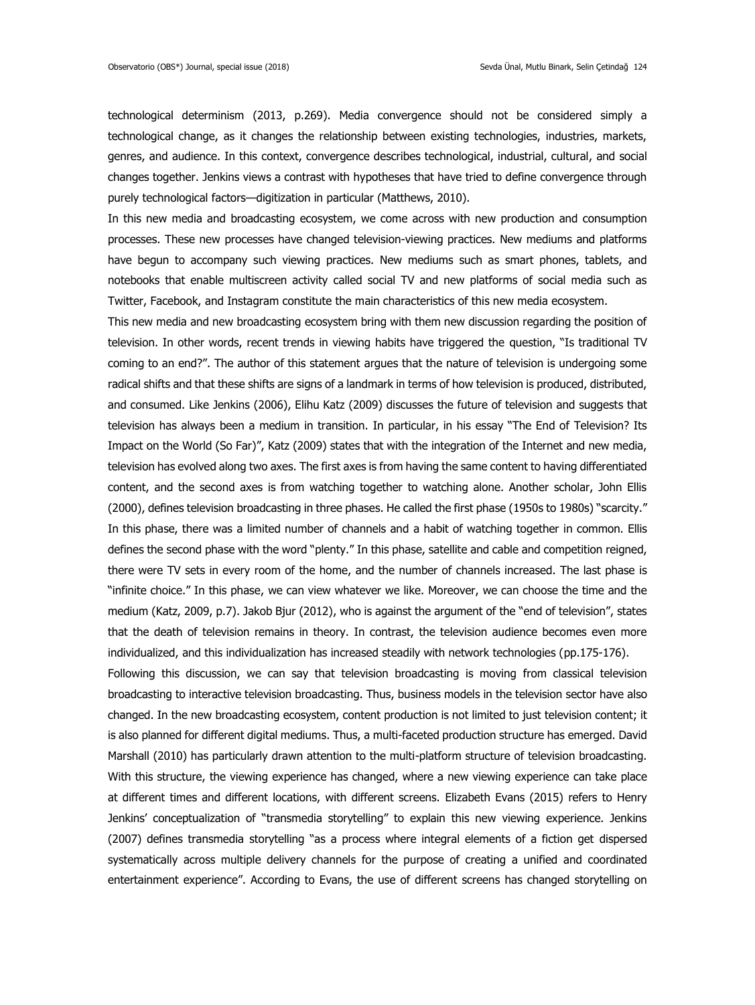technological determinism (2013, p.269). Media convergence should not be considered simply a technological change, as it changes the relationship between existing technologies, industries, markets, genres, and audience. In this context, convergence describes technological, industrial, cultural, and social changes together. Jenkins views a contrast with hypotheses that have tried to define convergence through purely technological factors—digitization in particular (Matthews, 2010).

In this new media and broadcasting ecosystem, we come across with new production and consumption processes. These new processes have changed television-viewing practices. New mediums and platforms have begun to accompany such viewing practices. New mediums such as smart phones, tablets, and notebooks that enable multiscreen activity called social TV and new platforms of social media such as Twitter, Facebook, and Instagram constitute the main characteristics of this new media ecosystem.

This new media and new broadcasting ecosystem bring with them new discussion regarding the position of television. In other words, recent trends in viewing habits have triggered the question, "Is traditional TV coming to an end?". The author of this statement argues that the nature of television is undergoing some radical shifts and that these shifts are signs of a landmark in terms of how television is produced, distributed, and consumed. Like Jenkins (2006), Elihu Katz (2009) discusses the future of television and suggests that television has always been a medium in transition. In particular, in his essay "The End of Television? Its Impact on the World (So Far)", Katz (2009) states that with the integration of the Internet and new media, television has evolved along two axes. The first axes is from having the same content to having differentiated content, and the second axes is from watching together to watching alone. Another scholar, John Ellis (2000), defines television broadcasting in three phases. He called the first phase (1950s to 1980s) "scarcity." In this phase, there was a limited number of channels and a habit of watching together in common. Ellis defines the second phase with the word "plenty." In this phase, satellite and cable and competition reigned, there were TV sets in every room of the home, and the number of channels increased. The last phase is "infinite choice." In this phase, we can view whatever we like. Moreover, we can choose the time and the medium (Katz, 2009, p.7). Jakob Bjur (2012), who is against the argument of the "end of television", states that the death of television remains in theory. In contrast, the television audience becomes even more individualized, and this individualization has increased steadily with network technologies (pp.175-176).

Following this discussion, we can say that television broadcasting is moving from classical television broadcasting to interactive television broadcasting. Thus, business models in the television sector have also changed. In the new broadcasting ecosystem, content production is not limited to just television content; it is also planned for different digital mediums. Thus, a multi-faceted production structure has emerged. David Marshall (2010) has particularly drawn attention to the multi-platform structure of television broadcasting. With this structure, the viewing experience has changed, where a new viewing experience can take place at different times and different locations, with different screens. Elizabeth Evans (2015) refers to Henry Jenkins' conceptualization of "transmedia storytelling" to explain this new viewing experience. Jenkins (2007) defines transmedia storytelling "as a process where integral elements of a fiction get dispersed systematically across multiple delivery channels for the purpose of creating a unified and coordinated entertainment experience". According to Evans, the use of different screens has changed storytelling on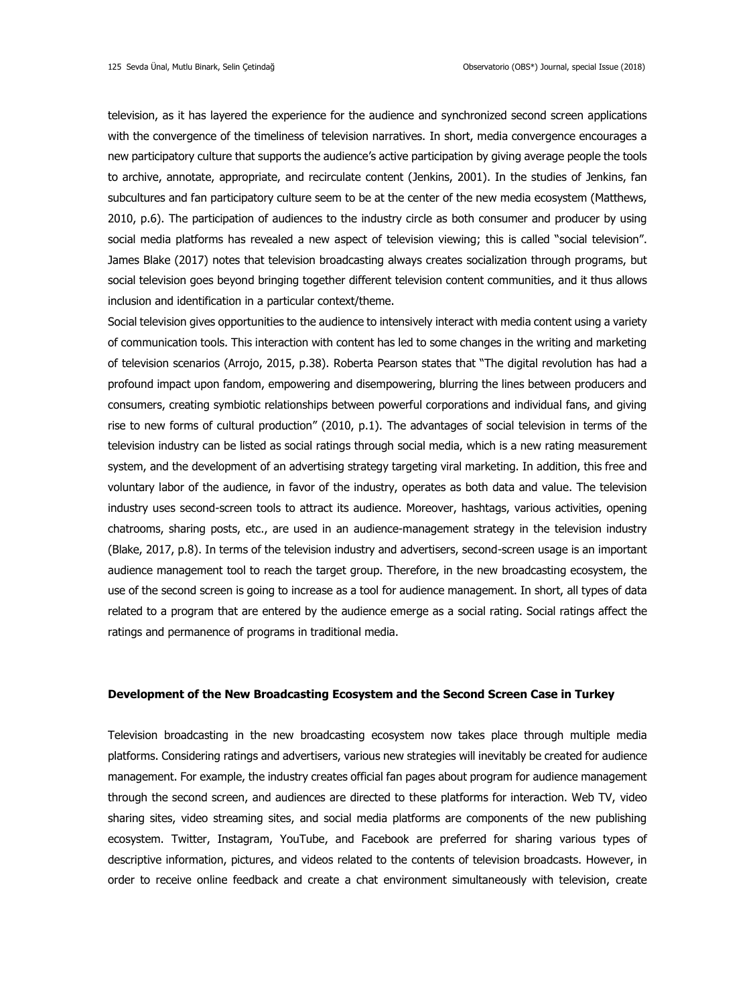television, as it has layered the experience for the audience and synchronized second screen applications with the convergence of the timeliness of television narratives. In short, media convergence encourages a new participatory culture that supports the audience's active participation by giving average people the tools to archive, annotate, appropriate, and recirculate content (Jenkins, 2001). In the studies of Jenkins, fan subcultures and fan participatory culture seem to be at the center of the new media ecosystem (Matthews, 2010, p.6). The participation of audiences to the industry circle as both consumer and producer by using social media platforms has revealed a new aspect of television viewing; this is called "social television". James Blake (2017) notes that television broadcasting always creates socialization through programs, but social television goes beyond bringing together different television content communities, and it thus allows inclusion and identification in a particular context/theme.

Social television gives opportunities to the audience to intensively interact with media content using a variety of communication tools. This interaction with content has led to some changes in the writing and marketing of television scenarios (Arrojo, 2015, p.38). Roberta Pearson states that "The digital revolution has had a profound impact upon fandom, empowering and disempowering, blurring the lines between producers and consumers, creating symbiotic relationships between powerful corporations and individual fans, and giving rise to new forms of cultural production" (2010, p.1). The advantages of social television in terms of the television industry can be listed as social ratings through social media, which is a new rating measurement system, and the development of an advertising strategy targeting viral marketing. In addition, this free and voluntary labor of the audience, in favor of the industry, operates as both data and value. The television industry uses second-screen tools to attract its audience. Moreover, hashtags, various activities, opening chatrooms, sharing posts, etc., are used in an audience-management strategy in the television industry (Blake, 2017, p.8). In terms of the television industry and advertisers, second-screen usage is an important audience management tool to reach the target group. Therefore, in the new broadcasting ecosystem, the use of the second screen is going to increase as a tool for audience management. In short, all types of data related to a program that are entered by the audience emerge as a social rating. Social ratings affect the ratings and permanence of programs in traditional media.

## **Development of the New Broadcasting Ecosystem and the Second Screen Case in Turkey**

Television broadcasting in the new broadcasting ecosystem now takes place through multiple media platforms. Considering ratings and advertisers, various new strategies will inevitably be created for audience management. For example, the industry creates official fan pages about program for audience management through the second screen, and audiences are directed to these platforms for interaction. Web TV, video sharing sites, video streaming sites, and social media platforms are components of the new publishing ecosystem. Twitter, Instagram, YouTube, and Facebook are preferred for sharing various types of descriptive information, pictures, and videos related to the contents of television broadcasts. However, in order to receive online feedback and create a chat environment simultaneously with television, create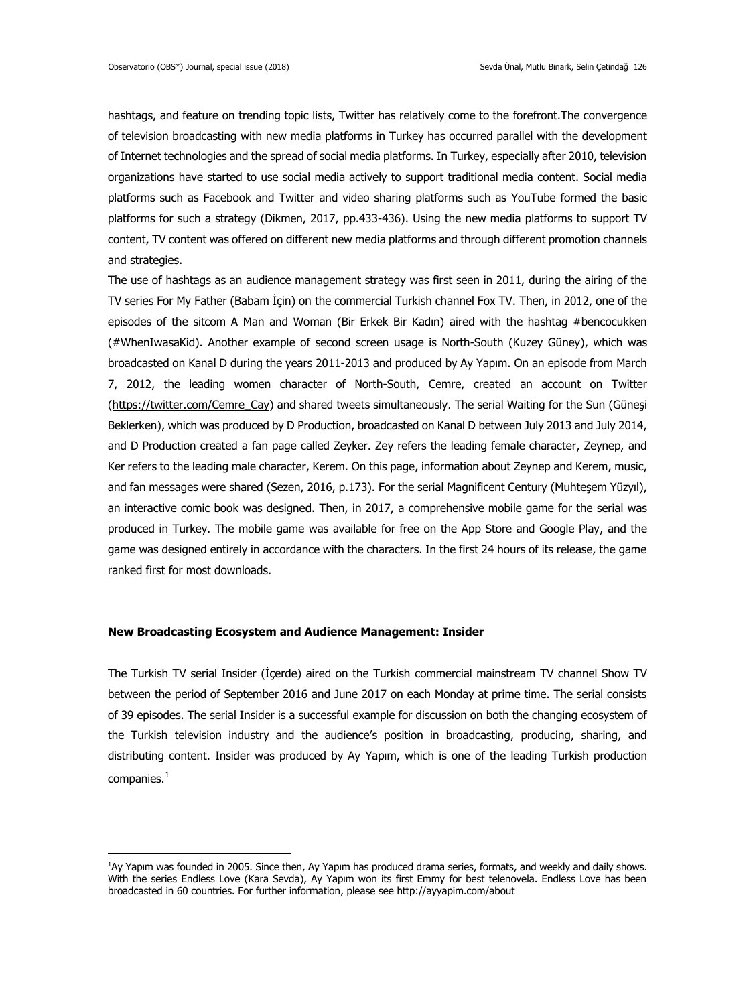hashtags, and feature on trending topic lists, Twitter has relatively come to the forefront.The convergence of television broadcasting with new media platforms in Turkey has occurred parallel with the development of Internet technologies and the spread of social media platforms. In Turkey, especially after 2010, television organizations have started to use social media actively to support traditional media content. Social media platforms such as Facebook and Twitter and video sharing platforms such as YouTube formed the basic platforms for such a strategy (Dikmen, 2017, pp.433-436). Using the new media platforms to support TV content, TV content was offered on different new media platforms and through different promotion channels and strategies.

The use of hashtags as an audience management strategy was first seen in 2011, during the airing of the TV series For My Father (Babam İçin) on the commercial Turkish channel Fox TV. Then, in 2012, one of the episodes of the sitcom A Man and Woman (Bir Erkek Bir Kadın) aired with the hashtag #bencocukken (#WhenIwasaKid). Another example of second screen usage is North-South (Kuzey Güney), which was broadcasted on Kanal D during the years 2011-2013 and produced by Ay Yapım. On an episode from March 7, 2012, the leading women character of North-South, Cemre, created an account on Twitter [\(https://twitter.com/Cemre\\_Cay\)](https://twitter.com/Cemre_Cay) and shared tweets simultaneously. The serial Waiting for the Sun (Güneşi Beklerken), which was produced by D Production, broadcasted on Kanal D between July 2013 and July 2014, and D Production created a fan page called Zeyker. Zey refers the leading female character, Zeynep, and Ker refers to the leading male character, Kerem. On this page, information about Zeynep and Kerem, music, and fan messages were shared (Sezen, 2016, p.173). For the serial Magnificent Century (Muhteşem Yüzyıl), an interactive comic book was designed. Then, in 2017, a comprehensive mobile game for the serial was produced in Turkey. The mobile game was available for free on the App Store and Google Play, and the game was designed entirely in accordance with the characters. In the first 24 hours of its release, the game ranked first for most downloads.

### **New Broadcasting Ecosystem and Audience Management: Insider**

-

The Turkish TV serial Insider (İçerde) aired on the Turkish commercial mainstream TV channel Show TV between the period of September 2016 and June 2017 on each Monday at prime time. The serial consists of 39 episodes. The serial Insider is a successful example for discussion on both the changing ecosystem of the Turkish television industry and the audience's position in broadcasting, producing, sharing, and distributing content. Insider was produced by Ay Yapım, which is one of the leading Turkish production companies.<sup>1</sup>

<sup>1</sup>Ay Yapım was founded in 2005. Since then, Ay Yapım has produced drama series, formats, and weekly and daily shows. With the series Endless Love (Kara Sevda), Ay Yapım won its first Emmy for best telenovela. Endless Love has been broadcasted in 60 countries. For further information, please see http://ayyapim.com/about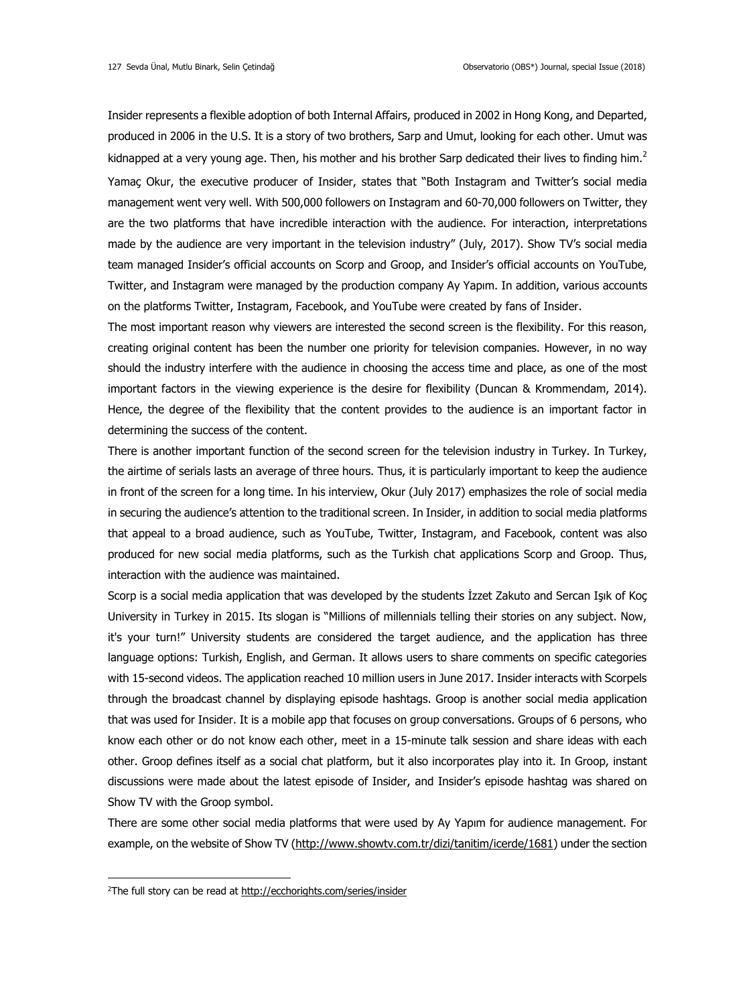Insider represents a flexible adoption of both Internal Affairs, produced in 2002 in Hong Kong, and Departed, produced in 2006 in the U.S. It is a story of two brothers, Sarp and Umut, looking for each other. Umut was kidnapped at a very young age. Then, his mother and his brother Sarp dedicated their lives to finding him.<sup>2</sup> Yamaç Okur, the executive producer of Insider, states that "Both Instagram and Twitter's social media management went very well. With 500,000 followers on Instagram and 60-70,000 followers on Twitter, they are the two platforms that have incredible interaction with the audience. For interaction, interpretations made by the audience are very important in the television industry" (July, 2017). Show TV's social media team managed Insider's official accounts on Scorp and Groop, and Insider's official accounts on YouTube, Twitter, and Instagram were managed by the production company Ay Yapım. In addition, various accounts on the platforms Twitter, Instagram, Facebook, and YouTube were created by fans of Insider.

The most important reason why viewers are interested the second screen is the flexibility. For this reason, creating original content has been the number one priority for television companies. However, in no way should the industry interfere with the audience in choosing the access time and place, as one of the most important factors in the viewing experience is the desire for flexibility (Duncan & Krommendam, 2014). Hence, the degree of the flexibility that the content provides to the audience is an important factor in determining the success of the content.

There is another important function of the second screen for the television industry in Turkey. In Turkey, the airtime of serials lasts an average of three hours. Thus, it is particularly important to keep the audience in front of the screen for a long time. In his interview, Okur (July 2017) emphasizes the role of social media in securing the audience's attention to the traditional screen. In Insider, in addition to social media platforms that appeal to a broad audience, such as YouTube, Twitter, Instagram, and Facebook, content was also produced for new social media platforms, such as the Turkish chat applications Scorp and Groop. Thus, interaction with the audience was maintained.

Scorp is a social media application that was developed by the students İzzet Zakuto and Sercan Işık of Koç University in Turkey in 2015. Its slogan is "Millions of millennials telling their stories on any subject. Now, it's your turn!" University students are considered the target audience, and the application has three language options: Turkish, English, and German. It allows users to share comments on specific categories with 15-second videos. The application reached 10 million users in June 2017. Insider interacts with Scorpels through the broadcast channel by displaying episode hashtags. Groop is another social media application that was used for Insider. It is a mobile app that focuses on group conversations. Groups of 6 persons, who know each other or do not know each other, meet in a 15-minute talk session and share ideas with each other. Groop defines itself as a social chat platform, but it also incorporates play into it. In Groop, instant discussions were made about the latest episode of Insider, and Insider's episode hashtag was shared on Show TV with the Groop symbol.

There are some other social media platforms that were used by Ay Yapım for audience management. For example, on the website of Show TV [\(http://www.showtv.com.tr/dizi/tanitim/icerde/1681\)](http://www.showtv.com.tr/dizi/tanitim/icerde/1681) under the section

1

<sup>2</sup>The full story can be read at<http://ecchorights.com/series/insider>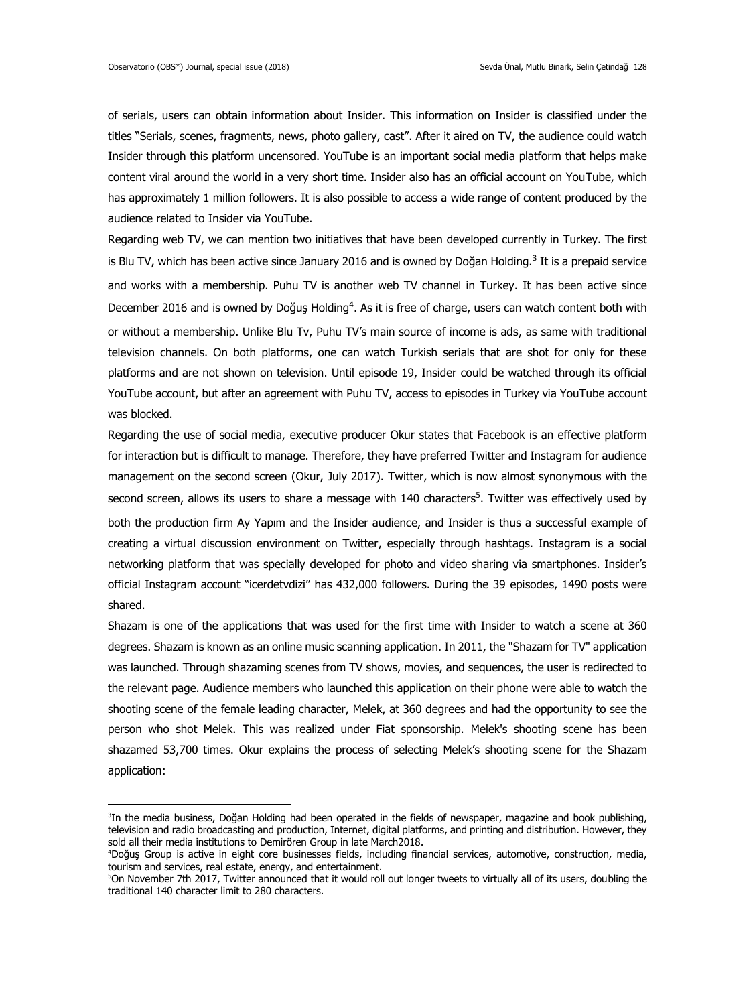-

of serials, users can obtain information about Insider. This information on Insider is classified under the titles "Serials, scenes, fragments, news, photo gallery, cast". After it aired on TV, the audience could watch Insider through this platform uncensored. YouTube is an important social media platform that helps make content viral around the world in a very short time. Insider also has an official account on YouTube, which has approximately 1 million followers. It is also possible to access a wide range of content produced by the audience related to Insider via YouTube.

Regarding web TV, we can mention two initiatives that have been developed currently in Turkey. The first is Blu TV, which has been active since January 2016 and is owned by Doğan Holding.<sup>3</sup> It is a prepaid service and works with a membership. Puhu TV is another web TV channel in Turkey. It has been active since December 2016 and is owned by Doğuş Holding<sup>4</sup>. As it is free of charge, users can watch content both with or without a membership. Unlike Blu Tv, Puhu TV's main source of income is ads, as same with traditional television channels. On both platforms, one can watch Turkish serials that are shot for only for these platforms and are not shown on television. Until episode 19, Insider could be watched through its official YouTube account, but after an agreement with Puhu TV, access to episodes in Turkey via YouTube account was blocked.

Regarding the use of social media, executive producer Okur states that Facebook is an effective platform for interaction but is difficult to manage. Therefore, they have preferred Twitter and Instagram for audience management on the second screen (Okur, July 2017). Twitter, which is now almost synonymous with the second screen, allows its users to share a message with 140 characters<sup>5</sup>. Twitter was effectively used by both the production firm Ay Yapım and the Insider audience, and Insider is thus a successful example of creating a virtual discussion environment on Twitter, especially through hashtags. Instagram is a social networking platform that was specially developed for photo and video sharing via smartphones. Insider's official Instagram account "icerdetvdizi" has 432,000 followers. During the 39 episodes, 1490 posts were shared.

Shazam is one of the applications that was used for the first time with Insider to watch a scene at 360 degrees. Shazam is known as an online music scanning application. In 2011, the "Shazam for TV" application was launched. Through shazaming scenes from TV shows, movies, and sequences, the user is redirected to the relevant page. Audience members who launched this application on their phone were able to watch the shooting scene of the female leading character, Melek, at 360 degrees and had the opportunity to see the person who shot Melek. This was realized under Fiat sponsorship. Melek's shooting scene has been shazamed 53,700 times. Okur explains the process of selecting Melek's shooting scene for the Shazam application:

<sup>3</sup> In the media business, Doğan Holding had been operated in the fields of newspaper, magazine and book publishing, television and radio broadcasting and production, Internet, digital platforms, and printing and distribution. However, they sold all their media institutions to Demirören Group in late March2018.

<sup>4</sup>Doğuş Group is active in eight core businesses fields, including financial services, automotive, construction, media, tourism and services, real estate, energy, and entertainment.

<sup>5</sup>On November 7th 2017, Twitter announced that it would roll out longer tweets to virtually all of its users, doubling the traditional 140 character limit to 280 characters.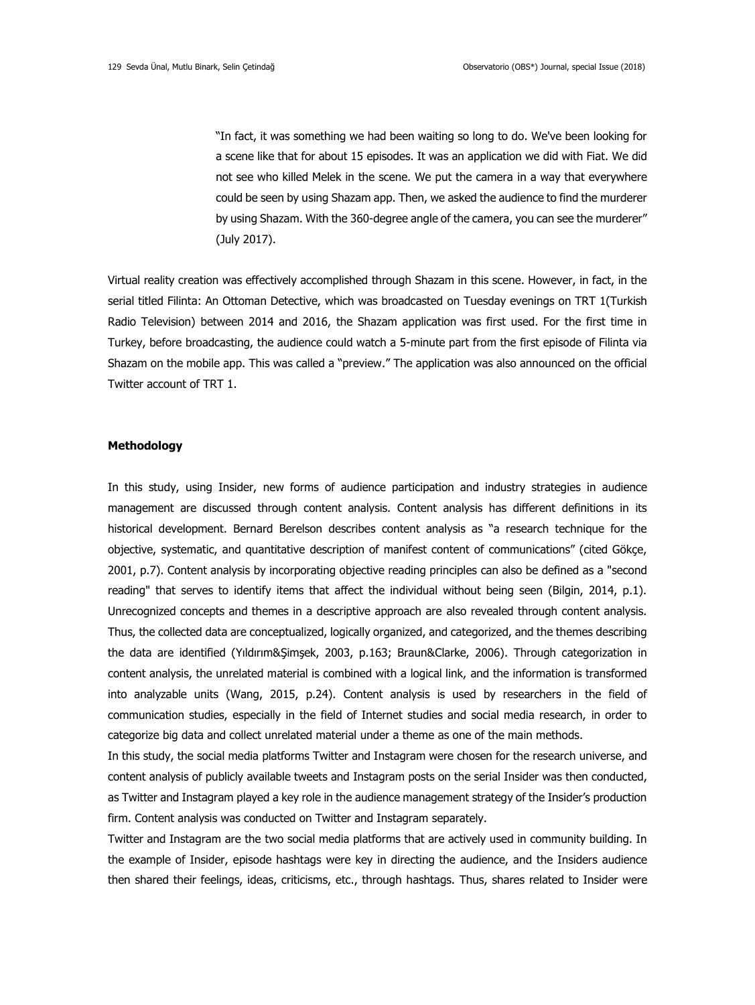"In fact, it was something we had been waiting so long to do. We've been looking for a scene like that for about 15 episodes. It was an application we did with Fiat. We did not see who killed Melek in the scene. We put the camera in a way that everywhere could be seen by using Shazam app. Then, we asked the audience to find the murderer by using Shazam. With the 360-degree angle of the camera, you can see the murderer" (July 2017).

Virtual reality creation was effectively accomplished through Shazam in this scene. However, in fact, in the serial titled Filinta: An Ottoman Detective, which was broadcasted on Tuesday evenings on TRT 1(Turkish Radio Television) between 2014 and 2016, the Shazam application was first used. For the first time in Turkey, before broadcasting, the audience could watch a 5-minute part from the first episode of Filinta via Shazam on the mobile app. This was called a "preview." The application was also announced on the official Twitter account of TRT 1.

## **Methodology**

In this study, using Insider, new forms of audience participation and industry strategies in audience management are discussed through content analysis. Content analysis has different definitions in its historical development. Bernard Berelson describes content analysis as "a research technique for the objective, systematic, and quantitative description of manifest content of communications" (cited Gökçe, 2001, p.7). Content analysis by incorporating objective reading principles can also be defined as a "second reading" that serves to identify items that affect the individual without being seen (Bilgin, 2014, p.1). Unrecognized concepts and themes in a descriptive approach are also revealed through content analysis. Thus, the collected data are conceptualized, logically organized, and categorized, and the themes describing the data are identified (Yıldırım&Şimşek, 2003, p.163; Braun&Clarke, 2006). Through categorization in content analysis, the unrelated material is combined with a logical link, and the information is transformed into analyzable units (Wang, 2015, p.24). Content analysis is used by researchers in the field of communication studies, especially in the field of Internet studies and social media research, in order to categorize big data and collect unrelated material under a theme as one of the main methods.

In this study, the social media platforms Twitter and Instagram were chosen for the research universe, and content analysis of publicly available tweets and Instagram posts on the serial Insider was then conducted, as Twitter and Instagram played a key role in the audience management strategy of the Insider's production firm. Content analysis was conducted on Twitter and Instagram separately.

Twitter and Instagram are the two social media platforms that are actively used in community building. In the example of Insider, episode hashtags were key in directing the audience, and the Insiders audience then shared their feelings, ideas, criticisms, etc., through hashtags. Thus, shares related to Insider were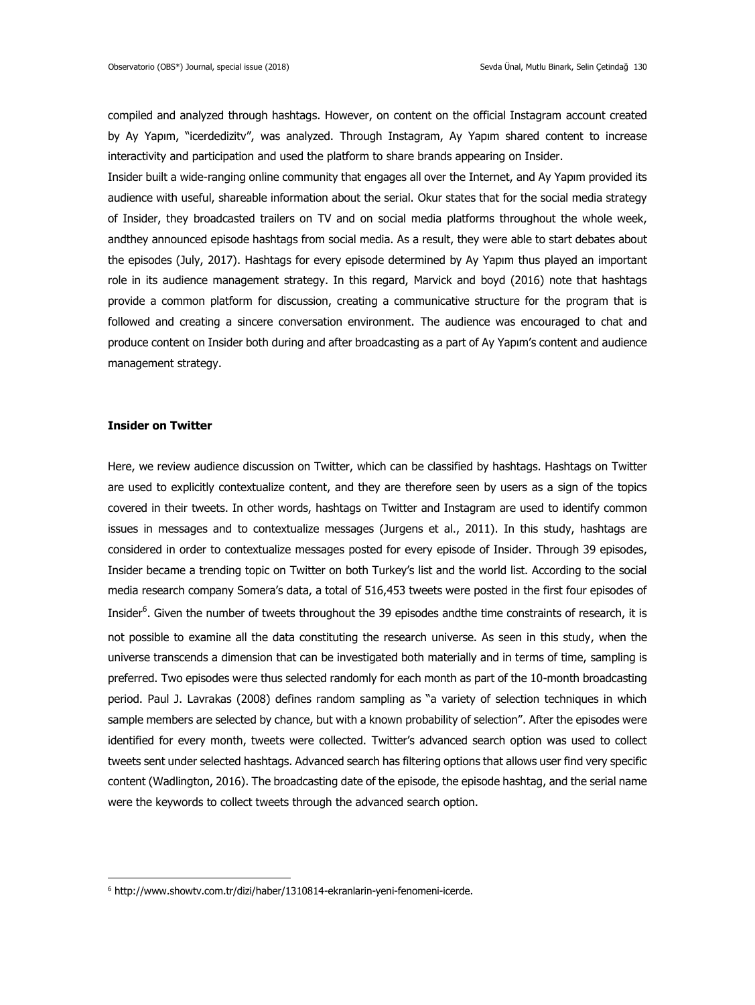compiled and analyzed through hashtags. However, on content on the official Instagram account created by Ay Yapım, "icerdedizitv", was analyzed. Through Instagram, Ay Yapım shared content to increase interactivity and participation and used the platform to share brands appearing on Insider.

Insider built a wide-ranging online community that engages all over the Internet, and Ay Yapım provided its audience with useful, shareable information about the serial. Okur states that for the social media strategy of Insider, they broadcasted trailers on TV and on social media platforms throughout the whole week, andthey announced episode hashtags from social media. As a result, they were able to start debates about the episodes (July, 2017). Hashtags for every episode determined by Ay Yapım thus played an important role in its audience management strategy. In this regard, Marvick and boyd (2016) note that hashtags provide a common platform for discussion, creating a communicative structure for the program that is followed and creating a sincere conversation environment. The audience was encouraged to chat and produce content on Insider both during and after broadcasting as a part of Ay Yapım's content and audience management strategy.

#### **Insider on Twitter**

1

Here, we review audience discussion on Twitter, which can be classified by hashtags. Hashtags on Twitter are used to explicitly contextualize content, and they are therefore seen by users as a sign of the topics covered in their tweets. In other words, hashtags on Twitter and Instagram are used to identify common issues in messages and to contextualize messages (Jurgens et al., 2011). In this study, hashtags are considered in order to contextualize messages posted for every episode of Insider. Through 39 episodes, Insider became a trending topic on Twitter on both Turkey's list and the world list. According to the social media research company Somera's data, a total of 516,453 tweets were posted in the first four episodes of Insider<sup>6</sup>. Given the number of tweets throughout the 39 episodes andthe time constraints of research, it is not possible to examine all the data constituting the research universe. As seen in this study, when the universe transcends a dimension that can be investigated both materially and in terms of time, sampling is preferred. Two episodes were thus selected randomly for each month as part of the 10-month broadcasting period. Paul J. Lavrakas (2008) defines random sampling as "a variety of selection techniques in which sample members are selected by chance, but with a known probability of selection". After the episodes were identified for every month, tweets were collected. Twitter's advanced search option was used to collect tweets sent under selected hashtags. Advanced search has filtering options that allows user find very specific content (Wadlington, 2016). The broadcasting date of the episode, the episode hashtag, and the serial name were the keywords to collect tweets through the advanced search option.

<sup>6</sup> http://www.showtv.com.tr/dizi/haber/1310814-ekranlarin-yeni-fenomeni-icerde.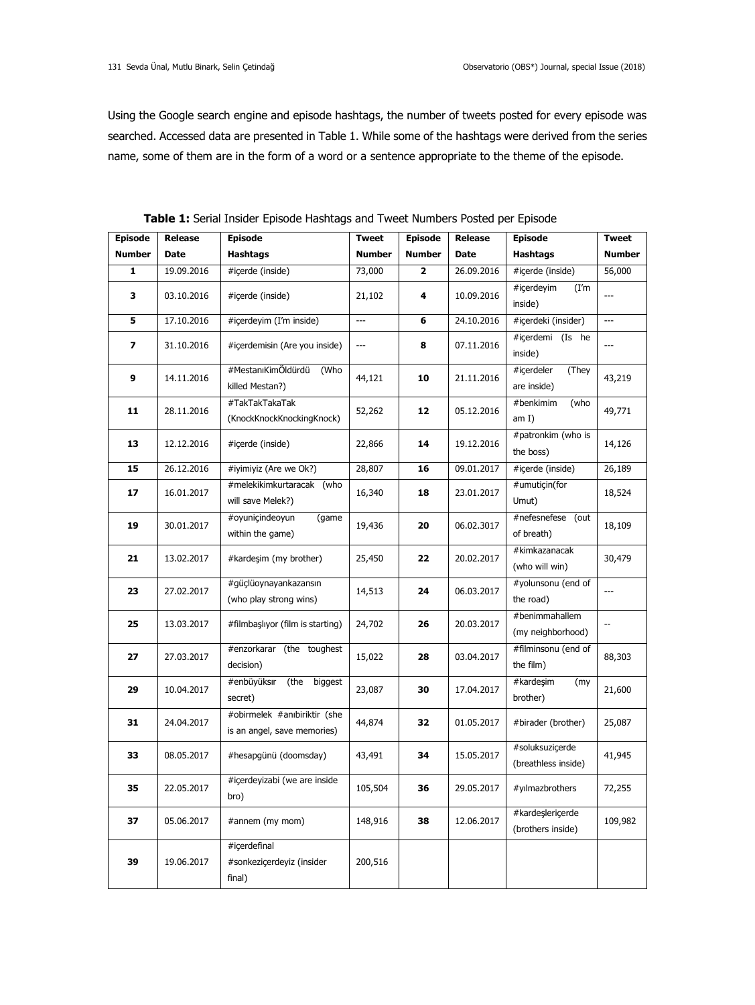Using the Google search engine and episode hashtags, the number of tweets posted for every episode was searched. Accessed data are presented in Table 1. While some of the hashtags were derived from the series name, some of them are in the form of a word or a sentence appropriate to the theme of the episode.

| <b>Episode</b> | Release     | <b>Episode</b>                                              | <b>Tweet</b>  | <b>Episode</b> | <b>Release</b> | <b>Episode</b>                         | <b>Tweet</b>  |
|----------------|-------------|-------------------------------------------------------------|---------------|----------------|----------------|----------------------------------------|---------------|
| <b>Number</b>  | <b>Date</b> | <b>Hashtags</b>                                             | <b>Number</b> | <b>Number</b>  | Date           | <b>Hashtags</b>                        | <b>Number</b> |
| 1              | 19.09.2016  | #icerde (inside)                                            | 73,000        | 2              | 26.09.2016     | #icerde (inside)                       | 56,000        |
| 3              | 03.10.2016  | #icerde (inside)                                            | 21,102        | 4              | 10.09.2016     | #icerdeyim<br>(I'm<br>inside)          | ---           |
| 5              | 17.10.2016  | #icerdeyim (I'm inside)                                     | ---           | 6              | 24.10.2016     | #icerdeki (insider)                    | ---           |
| 7              | 31.10.2016  | #icerdemisin (Are you inside)                               | ---           | 8              | 07.11.2016     | #icerdemi (Is he<br>inside)            | ---           |
| 9              | 14.11.2016  | #MestanıKimÖldürdü<br>(Who<br>killed Mestan?)               | 44,121        | 10             | 21.11.2016     | #içerdeler<br>(They<br>are inside)     | 43,219        |
| 11             | 28.11.2016  | #TakTakTakaTak<br>(KnockKnockKnockingKnock)                 | 52,262        | 12             | 05.12.2016     | #benkimim<br>(who<br>am I)             | 49,771        |
| 13             | 12.12.2016  | #icerde (inside)                                            | 22,866        | 14             | 19.12.2016     | #patronkim (who is<br>the boss)        | 14,126        |
| 15             | 26.12.2016  | #iyimiyiz (Are we Ok?)                                      | 28,807        | 16             | 09.01.2017     | #içerde (inside)                       | 26,189        |
| 17             | 16.01.2017  | #melekikimkurtaracak (who<br>will save Melek?)              | 16,340        | 18             | 23.01.2017     | #umutiçin(for<br>Umut)                 | 18,524        |
| 19             | 30.01.2017  | #oyunicindeoyun<br>(game<br>within the game)                | 19,436        | 20             | 06.02.3017     | #nefesnefese (out<br>of breath)        | 18,109        |
| 21             | 13.02.2017  | #kardeşim (my brother)                                      | 25,450        | 22             | 20.02.2017     | #kimkazanacak<br>(who will win)        | 30,479        |
| 23             | 27.02.2017  | #güçlüoynayankazansın<br>(who play strong wins)             | 14,513        | 24             | 06.03.2017     | #yolunsonu (end of<br>the road)        | ---           |
| 25             | 13.03.2017  | #filmbaşlıyor (film is starting)                            | 24,702        | 26             | 20.03.2017     | #benimmahallem<br>(my neighborhood)    | --            |
| 27             | 27.03.2017  | #enzorkarar (the toughest<br>decision)                      | 15,022        | 28             | 03.04.2017     | #filminsonu (end of<br>the film)       | 88,303        |
| 29             | 10.04.2017  | #enbüyüksır<br>(the biggest<br>secret)                      | 23,087        | 30             | 17.04.2017     | #kardeşim<br>(my<br>brother)           | 21,600        |
| 31             | 24.04.2017  | #obirmelek #anıbiriktir (she<br>is an angel, save memories) | 44,874        | 32             | 01.05.2017     | #birader (brother)                     | 25,087        |
| 33             | 08.05.2017  | #hesapgünü (doomsday)                                       | 43,491        | 34             | 15.05.2017     | #soluksuzicerde<br>(breathless inside) | 41,945        |
| 35             | 22.05.2017  | #içerdeyizabi (we are inside<br>bro)                        | 105,504       | 36             | 29.05.2017     | #yılmazbrothers                        | 72,255        |
| 37             | 05.06.2017  | #annem (my mom)                                             | 148,916       | 38             | 12.06.2017     | #kardeslericerde<br>(brothers inside)  | 109,982       |
| 39             | 19.06.2017  | #icerdefinal<br>#sonkeziçerdeyiz (insider<br>final)         | 200,516       |                |                |                                        |               |

**Table 1:** Serial Insider Episode Hashtags and Tweet Numbers Posted per Episode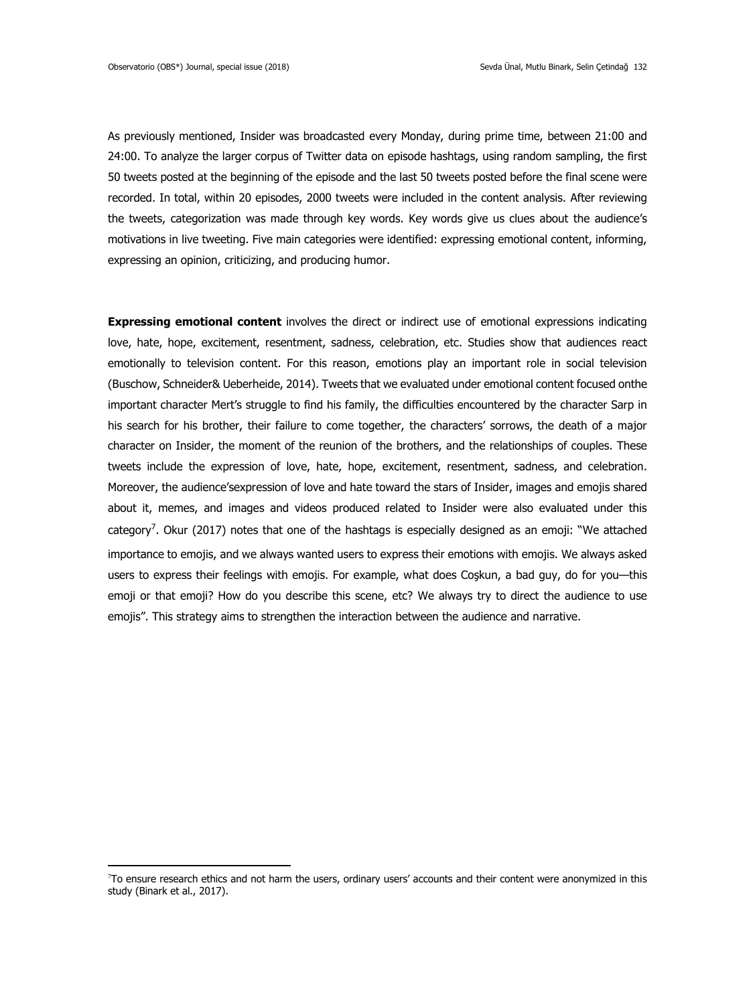1

As previously mentioned, Insider was broadcasted every Monday, during prime time, between 21:00 and 24:00. To analyze the larger corpus of Twitter data on episode hashtags, using random sampling, the first 50 tweets posted at the beginning of the episode and the last 50 tweets posted before the final scene were recorded. In total, within 20 episodes, 2000 tweets were included in the content analysis. After reviewing the tweets, categorization was made through key words. Key words give us clues about the audience's motivations in live tweeting. Five main categories were identified: expressing emotional content, informing, expressing an opinion, criticizing, and producing humor.

**Expressing emotional content** involves the direct or indirect use of emotional expressions indicating love, hate, hope, excitement, resentment, sadness, celebration, etc. Studies show that audiences react emotionally to television content. For this reason, emotions play an important role in social television (Buschow, Schneider& Ueberheide, 2014). Tweets that we evaluated under emotional content focused onthe important character Mert's struggle to find his family, the difficulties encountered by the character Sarp in his search for his brother, their failure to come together, the characters' sorrows, the death of a major character on Insider, the moment of the reunion of the brothers, and the relationships of couples. These tweets include the expression of love, hate, hope, excitement, resentment, sadness, and celebration. Moreover, the audience'sexpression of love and hate toward the stars of Insider, images and emojis shared about it, memes, and images and videos produced related to Insider were also evaluated under this category<sup>7</sup>. Okur (2017) notes that one of the hashtags is especially designed as an emoji: "We attached importance to emojis, and we always wanted users to express their emotions with emojis. We always asked users to express their feelings with emojis. For example, what does Coşkun, a bad guy, do for you—this emoji or that emoji? How do you describe this scene, etc? We always try to direct the audience to use emojis". This strategy aims to strengthen the interaction between the audience and narrative.

<sup>7</sup>To ensure research ethics and not harm the users, ordinary users' accounts and their content were anonymized in this study (Binark et al., 2017).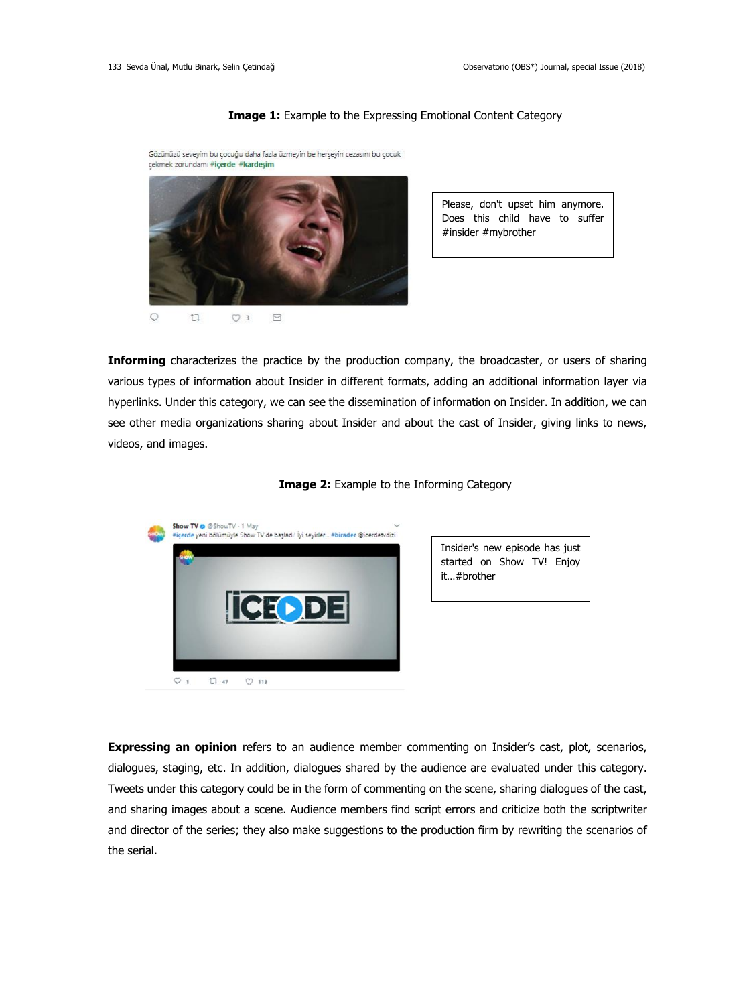#### **Image 1:** Example to the Expressing Emotional Content Category

Gözünüzü seveyim bu çocuğu daha fazla üzmeyin be herşeyin cezasını bu çocuk çekmek zorundamı #içerde #kardeşim



 $\circ$  $t1$  $O<sub>3</sub>$  $\boxdot$  Please, don't upset him anymore. Does this child have to suffer #insider #mybrother

**Informing** characterizes the practice by the production company, the broadcaster, or users of sharing various types of information about Insider in different formats, adding an additional information layer via hyperlinks. Under this category, we can see the dissemination of information on Insider. In addition, we can see other media organizations sharing about Insider and about the cast of Insider, giving links to news, videos, and images.





Insider's new episode has just started on Show TV! Enjoy it…#brother

**Expressing an opinion** refers to an audience member commenting on Insider's cast, plot, scenarios, dialogues, staging, etc. In addition, dialogues shared by the audience are evaluated under this category. Tweets under this category could be in the form of commenting on the scene, sharing dialogues of the cast, and sharing images about a scene. Audience members find script errors and criticize both the scriptwriter and director of the series; they also make suggestions to the production firm by rewriting the scenarios of the serial.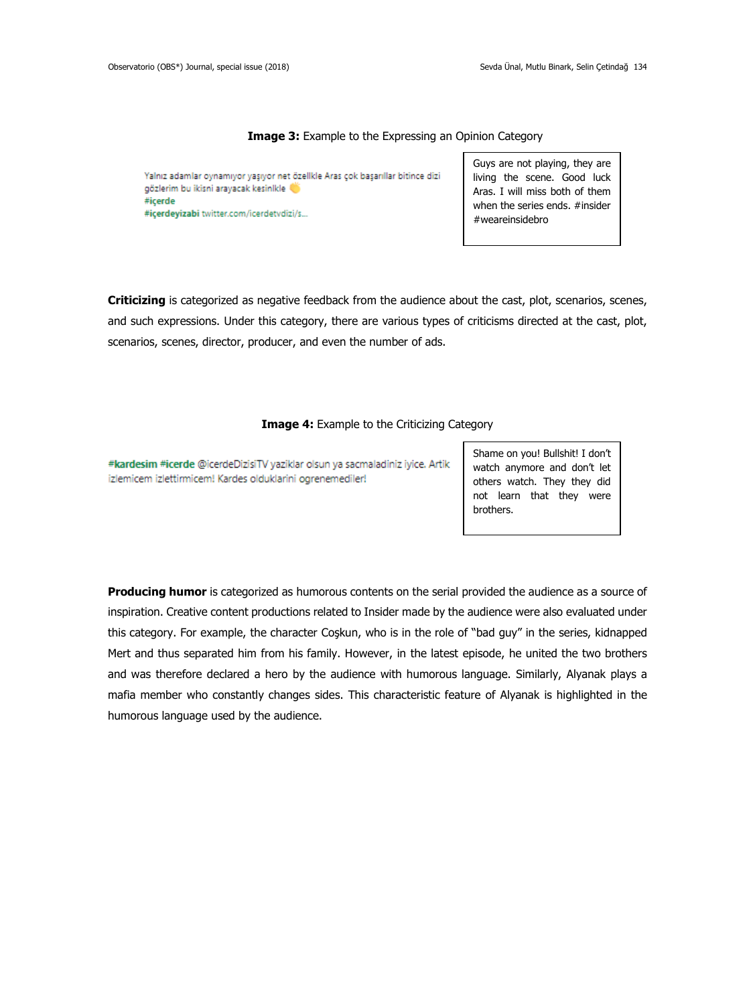## **Image 3:** Example to the Expressing an Opinion Category

Yalnız adamlar oynamıyor yaşıyor net özellkle Aras çok başarıllar bitince dizi qözlerim bu ikisni arayacak kesinlkle #icerde #icerdeyizabi twitter.com/icerdetvdizi/s...

Guys are not playing, they are living the scene. Good luck Aras. I will miss both of them when the series ends. #insider #weareinsidebro

**Criticizing** is categorized as negative feedback from the audience about the cast, plot, scenarios, scenes, and such expressions. Under this category, there are various types of criticisms directed at the cast, plot, scenarios, scenes, director, producer, and even the number of ads.

**Image 4:** Example to the Criticizing Category

#kardesim #icerde @icerdeDizisiTV yaziklar olsun ya sacmaladiniz iyice. Artik izlemicem izlettirmicem! Kardes olduklarini ogrenemediler!

Shame on you! Bullshit! I don't watch anymore and don't let others watch. They they did not learn that they were brothers.

**Producing humor** is categorized as humorous contents on the serial provided the audience as a source of inspiration. Creative content productions related to Insider made by the audience were also evaluated under this category. For example, the character Coşkun, who is in the role of "bad guy" in the series, kidnapped Mert and thus separated him from his family. However, in the latest episode, he united the two brothers and was therefore declared a hero by the audience with humorous language. Similarly, Alyanak plays a mafia member who constantly changes sides. This characteristic feature of Alyanak is highlighted in the humorous language used by the audience.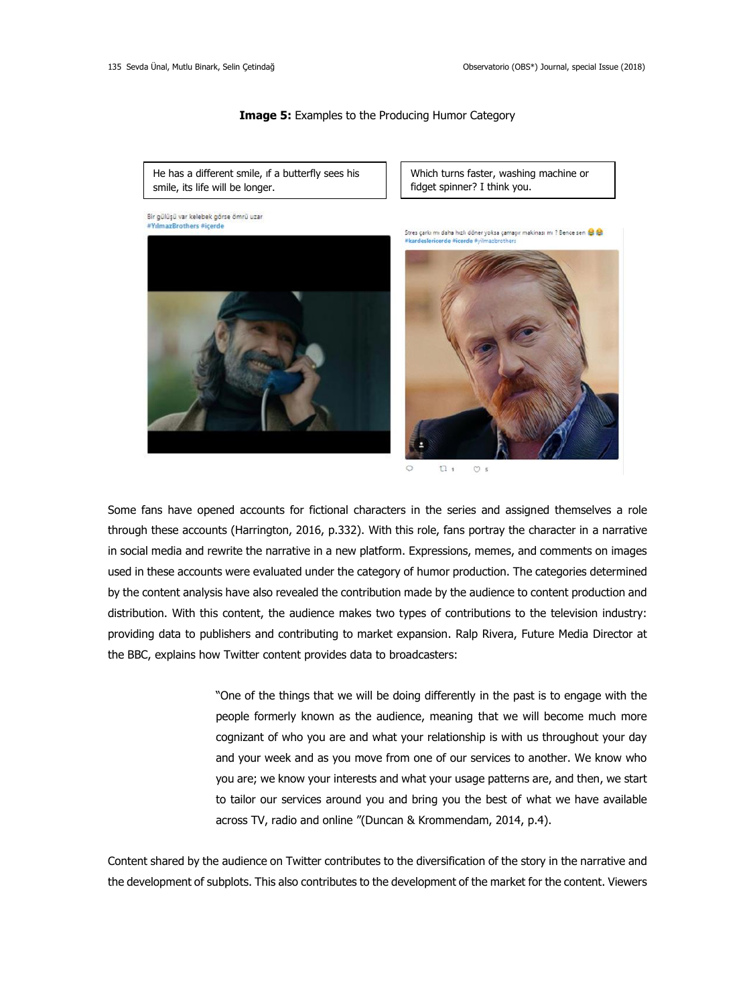#### **Image 5:** Examples to the Producing Humor Category

He has a different smile, ıf a butterfly sees his smile, its life will be longer.

Bir gülüşü var kelebek görse ömrü uzar #YılmazBrothers #icerde

Which turns faster, washing machine or [fidget spinner?](http://tureng.com/tr/turkce-ingilizce/fidget%20spinner) I think you.

Stres carlo mi daha hizli döner voksa camasır makinası mi ? Bence sen 18 8

#brothersareinside





 $t1$  $\circ$  s

Some fans have opened accounts for fictional characters in the series and assigned themselves a role through these accounts (Harrington, 2016, p.332). With this role, fans portray the character in a narrative in social media and rewrite the narrative in a new platform. Expressions, memes, and comments on images used in these accounts were evaluated under the category of humor production. The categories determined by the content analysis have also revealed the contribution made by the audience to content production and distribution. With this content, the audience makes two types of contributions to the television industry: providing data to publishers and contributing to market expansion. Ralp Rivera, Future Media Director at the BBC, explains how Twitter content provides data to broadcasters:

> "One of the things that we will be doing differently in the past is to engage with the people formerly known as the audience, meaning that we will become much more cognizant of who you are and what your relationship is with us throughout your day and your week and as you move from one of our services to another. We know who you are; we know your interests and what your usage patterns are, and then, we start to tailor our services around you and bring you the best of what we have available across TV, radio and online "(Duncan & Krommendam, 2014, p.4).

Content shared by the audience on Twitter contributes to the diversification of the story in the narrative and the development of subplots. This also contributes to the development of the market for the content. Viewers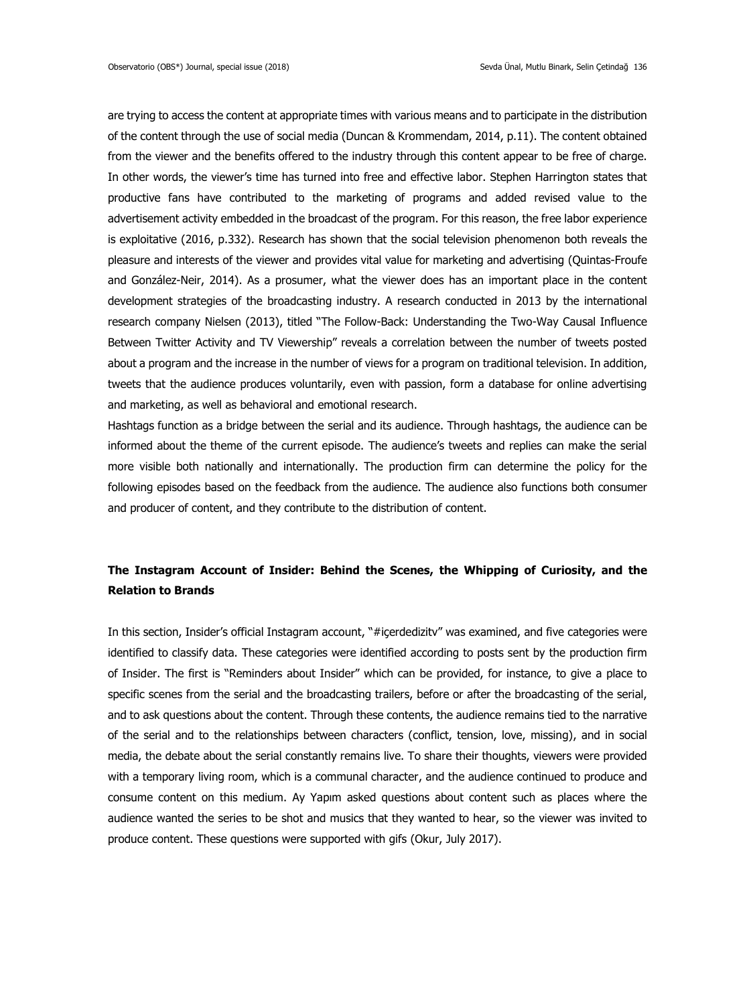are trying to access the content at appropriate times with various means and to participate in the distribution of the content through the use of social media (Duncan & Krommendam, 2014, p.11). The content obtained from the viewer and the benefits offered to the industry through this content appear to be free of charge. In other words, the viewer's time has turned into free and effective labor. Stephen Harrington states that productive fans have contributed to the marketing of programs and added revised value to the advertisement activity embedded in the broadcast of the program. For this reason, the free labor experience is exploitative (2016, p.332). Research has shown that the social television phenomenon both reveals the pleasure and interests of the viewer and provides vital value for marketing and advertising (Quintas-Froufe and González-Neir, 2014). As a prosumer, what the viewer does has an important place in the content development strategies of the broadcasting industry. A research conducted in 2013 by the international research company Nielsen (2013), titled "The Follow-Back: Understanding the Two-Way Causal Influence Between Twitter Activity and TV Viewership" reveals a correlation between the number of tweets posted about a program and the increase in the number of views for a program on traditional television. In addition, tweets that the audience produces voluntarily, even with passion, form a database for online advertising and marketing, as well as behavioral and emotional research.

Hashtags function as a bridge between the serial and its audience. Through hashtags, the audience can be informed about the theme of the current episode. The audience's tweets and replies can make the serial more visible both nationally and internationally. The production firm can determine the policy for the following episodes based on the feedback from the audience. The audience also functions both consumer and producer of content, and they contribute to the distribution of content.

# **The Instagram Account of Insider: Behind the Scenes, the Whipping of Curiosity, and the Relation to Brands**

In this section, Insider's official Instagram account, "#içerdedizitv" was examined, and five categories were identified to classify data. These categories were identified according to posts sent by the production firm of Insider. The first is "Reminders about Insider" which can be provided, for instance, to give a place to specific scenes from the serial and the broadcasting trailers, before or after the broadcasting of the serial, and to ask questions about the content. Through these contents, the audience remains tied to the narrative of the serial and to the relationships between characters (conflict, tension, love, missing), and in social media, the debate about the serial constantly remains live. To share their thoughts, viewers were provided with a temporary living room, which is a communal character, and the audience continued to produce and consume content on this medium. Ay Yapım asked questions about content such as places where the audience wanted the series to be shot and musics that they wanted to hear, so the viewer was invited to produce content. These questions were supported with gifs (Okur, July 2017).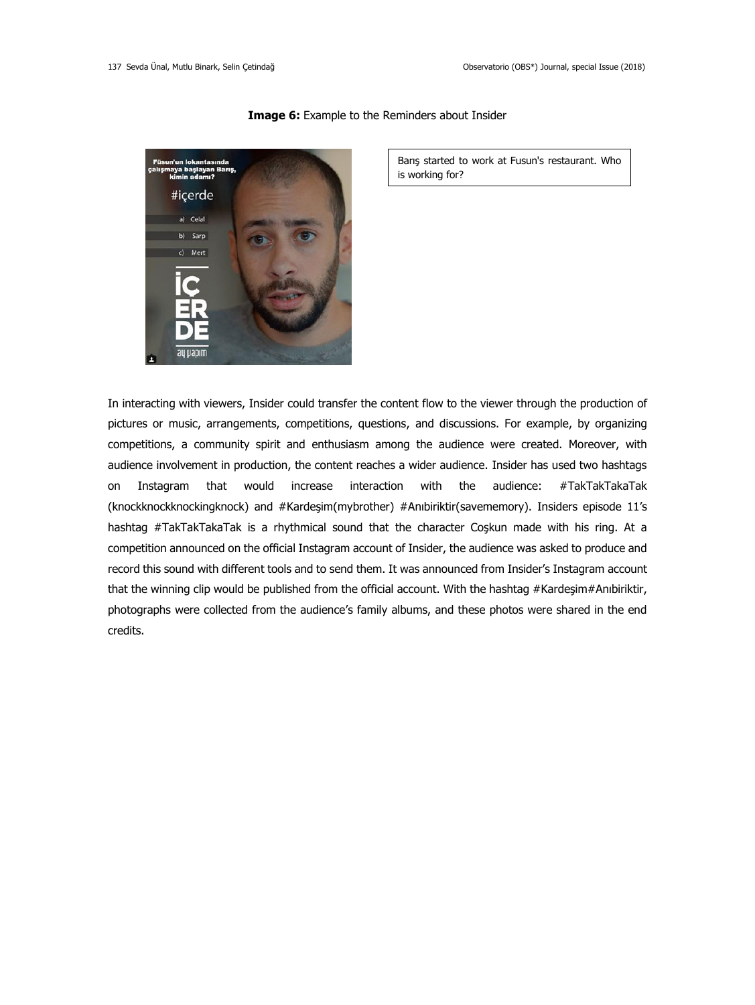

## **Image 6:** Example to the Reminders about Insider

Barış started to work at Fusun's restaurant. Who is working for?

In interacting with viewers, Insider could transfer the content flow to the viewer through the production of pictures or music, arrangements, competitions, questions, and discussions. For example, by organizing competitions, a community spirit and enthusiasm among the audience were created. Moreover, with audience involvement in production, the content reaches a wider audience. Insider has used two hashtags on Instagram that would increase interaction with the audience: #TakTakTakaTak (knockknockknockingknock) and #Kardeşim(mybrother) #Anıbiriktir(savememory). Insiders episode 11's hashtag #TakTakTakaTak is a rhythmical sound that the character Coşkun made with his ring. At a competition announced on the official Instagram account of Insider, the audience was asked to produce and record this sound with different tools and to send them. It was announced from Insider's Instagram account that the winning clip would be published from the official account. With the hashtag #Kardeşim#Anıbiriktir, photographs were collected from the audience's family albums, and these photos were shared in the end credits.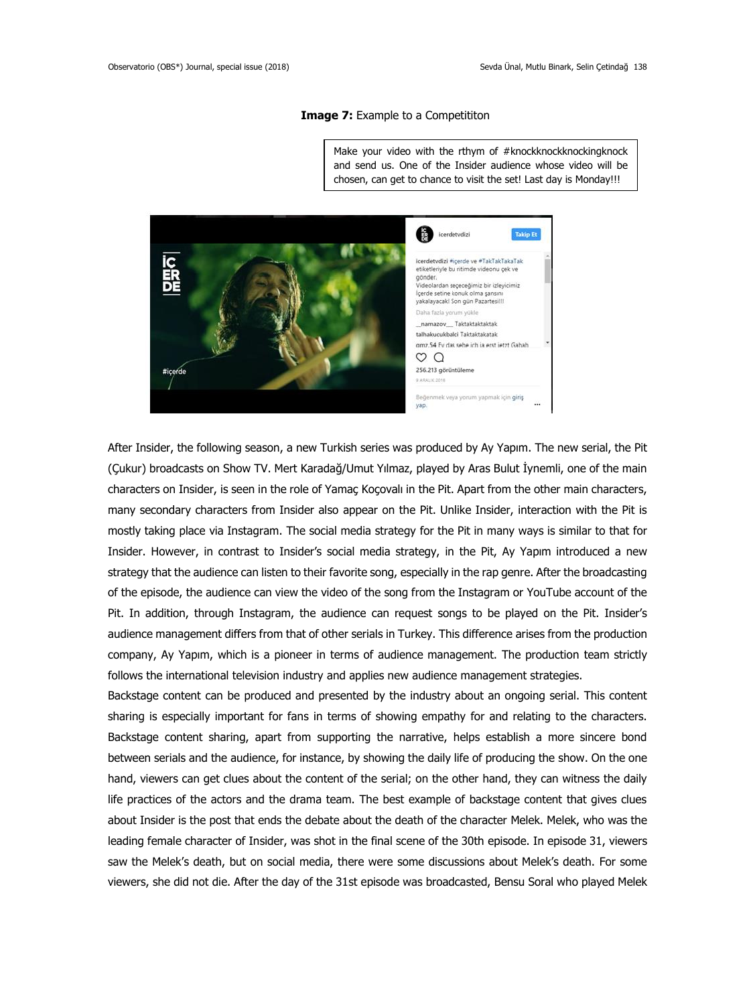#### **Image 7:** Example to a Competititon

Make your video with the rthym of #knockknockknockingknock and send us. One of the Insider audience whose video will be chosen, can get to chance to visit the set! Last day is Monday!!!



After Insider, the following season, a new Turkish series was produced by Ay Yapım. The new serial, the Pit (Çukur) broadcasts on Show TV. Mert Karadağ/Umut Yılmaz, played by Aras Bulut İynemli, one of the main characters on Insider, is seen in the role of Yamaç Koçovalı in the Pit. Apart from the other main characters, many secondary characters from Insider also appear on the Pit. Unlike Insider, interaction with the Pit is mostly taking place via Instagram. The social media strategy for the Pit in many ways is similar to that for Insider. However, in contrast to Insider's social media strategy, in the Pit, Ay Yapım introduced a new strategy that the audience can listen to their favorite song, especially in the rap genre. After the broadcasting of the episode, the audience can view the video of the song from the Instagram or YouTube account of the Pit. In addition, through Instagram, the audience can request songs to be played on the Pit. Insider's audience management differs from that of other serials in Turkey. This difference arises from the production company, Ay Yapım, which is a pioneer in terms of audience management. The production team strictly follows the international television industry and applies new audience management strategies.

Backstage content can be produced and presented by the industry about an ongoing serial. This content sharing is especially important for fans in terms of showing empathy for and relating to the characters. Backstage content sharing, apart from supporting the narrative, helps establish a more sincere bond between serials and the audience, for instance, by showing the daily life of producing the show. On the one hand, viewers can get clues about the content of the serial; on the other hand, they can witness the daily life practices of the actors and the drama team. The best example of backstage content that gives clues about Insider is the post that ends the debate about the death of the character Melek. Melek, who was the leading female character of Insider, was shot in the final scene of the 30th episode. In episode 31, viewers saw the Melek's death, but on social media, there were some discussions about Melek's death. For some viewers, she did not die. After the day of the 31st episode was broadcasted, Bensu Soral who played Melek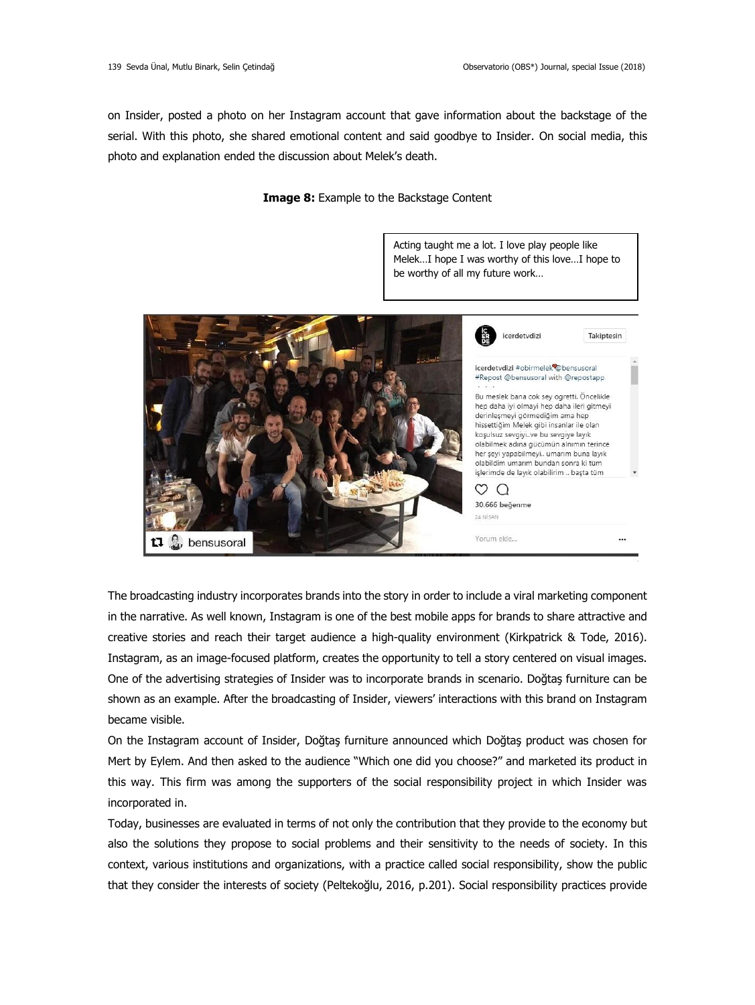on Insider, posted a photo on her Instagram account that gave information about the backstage of the serial. With this photo, she shared emotional content and said goodbye to Insider. On social media, this photo and explanation ended the discussion about Melek's death.

## **Image 8:** Example to the Backstage Content



The broadcasting industry incorporates brands into the story in order to include a viral marketing component in the narrative. As well known, Instagram is one of the best mobile apps for brands to share attractive and creative stories and reach their target audience a high-quality environment (Kirkpatrick & Tode, 2016). Instagram, as an image-focused platform, creates the opportunity to tell a story centered on visual images. One of the advertising strategies of Insider was to incorporate brands in scenario. Doğtaş furniture can be shown as an example. After the broadcasting of Insider, viewers' interactions with this brand on Instagram became visible.

On the Instagram account of Insider, Doğtaş furniture announced which Doğtaş product was chosen for Mert by Eylem. And then asked to the audience "Which one did you choose?" and marketed its product in this way. This firm was among the supporters of the social responsibility project in which Insider was incorporated in.

Today, businesses are evaluated in terms of not only the contribution that they provide to the economy but also the solutions they propose to social problems and their sensitivity to the needs of society. In this context, various institutions and organizations, with a practice called social responsibility, show the public that they consider the interests of society (Peltekoğlu, 2016, p.201). Social responsibility practices provide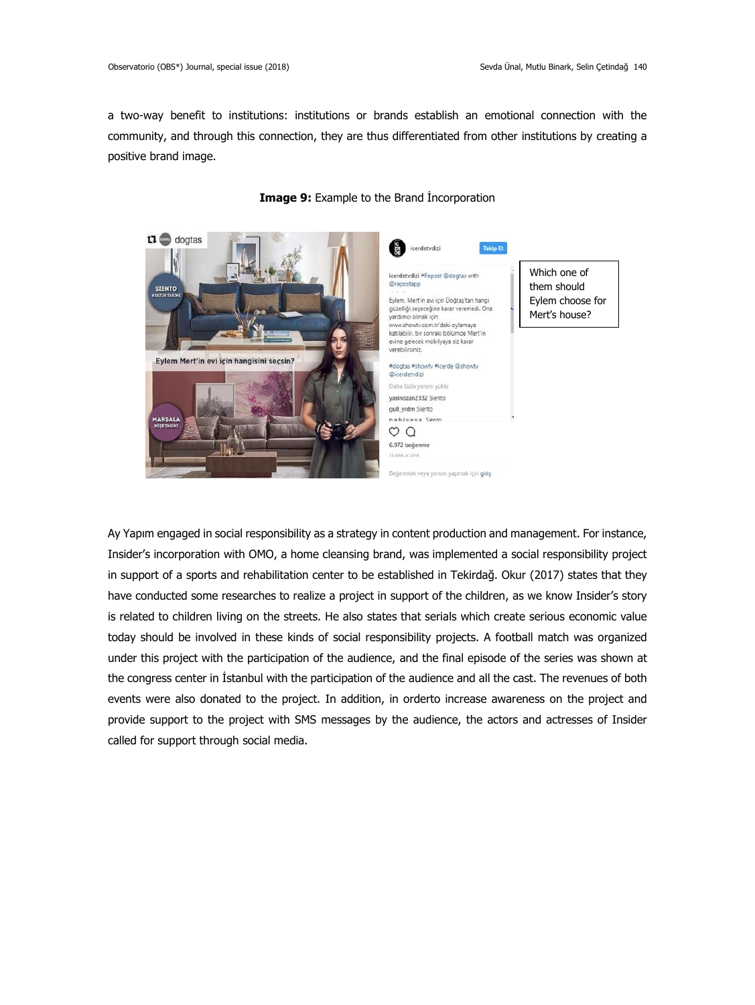a two-way benefit to institutions: institutions or brands establish an emotional connection with the community, and through this connection, they are thus differentiated from other institutions by creating a positive brand image.



## **Image 9:** Example to the Brand İncorporation

Ay Yapım engaged in social responsibility as a strategy in content production and management. For instance, Insider's incorporation with OMO, a home cleansing brand, was implemented a social responsibility project in support of a sports and rehabilitation center to be established in Tekirdağ. Okur (2017) states that they have conducted some researches to realize a project in support of the children, as we know Insider's story is related to children living on the streets. He also states that serials which create serious economic value today should be involved in these kinds of social responsibility projects. A football match was organized under this project with the participation of the audience, and the final episode of the series was shown at the congress center in İstanbul with the participation of the audience and all the cast. The revenues of both events were also donated to the project. In addition, in orderto increase awareness on the project and provide support to the project with SMS messages by the audience, the actors and actresses of Insider called for support through social media.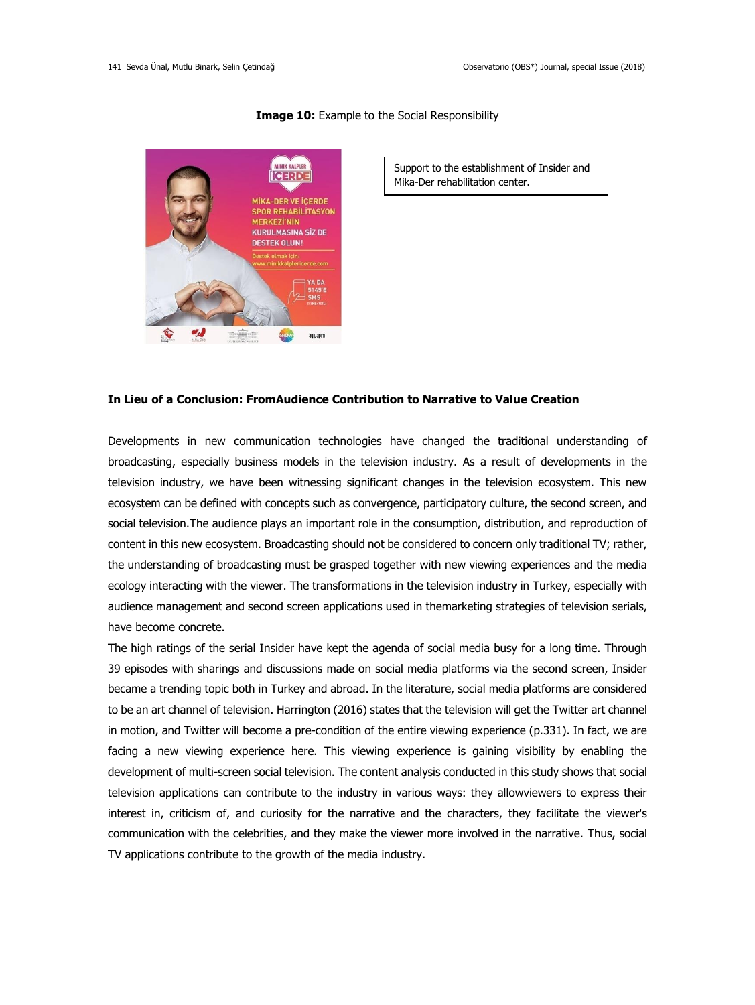

#### **Image 10:** Example to the Social Responsibility

Support to the establishment of Insider and Mika-Der rehabilitation center.

## **In Lieu of a Conclusion: FromAudience Contribution to Narrative to Value Creation**

Developments in new communication technologies have changed the traditional understanding of broadcasting, especially business models in the television industry. As a result of developments in the television industry, we have been witnessing significant changes in the television ecosystem. This new ecosystem can be defined with concepts such as convergence, participatory culture, the second screen, and social television.The audience plays an important role in the consumption, distribution, and reproduction of content in this new ecosystem. Broadcasting should not be considered to concern only traditional TV; rather, the understanding of broadcasting must be grasped together with new viewing experiences and the media ecology interacting with the viewer. The transformations in the television industry in Turkey, especially with audience management and second screen applications used in themarketing strategies of television serials, have become concrete.

The high ratings of the serial Insider have kept the agenda of social media busy for a long time. Through 39 episodes with sharings and discussions made on social media platforms via the second screen, Insider became a trending topic both in Turkey and abroad. In the literature, social media platforms are considered to be an art channel of television. Harrington (2016) states that the television will get the Twitter art channel in motion, and Twitter will become a pre-condition of the entire viewing experience (p.331). In fact, we are facing a new viewing experience here. This viewing experience is gaining visibility by enabling the development of multi-screen social television. The content analysis conducted in this study shows that social television applications can contribute to the industry in various ways: they allowviewers to express their interest in, criticism of, and curiosity for the narrative and the characters, they facilitate the viewer's communication with the celebrities, and they make the viewer more involved in the narrative. Thus, social TV applications contribute to the growth of the media industry.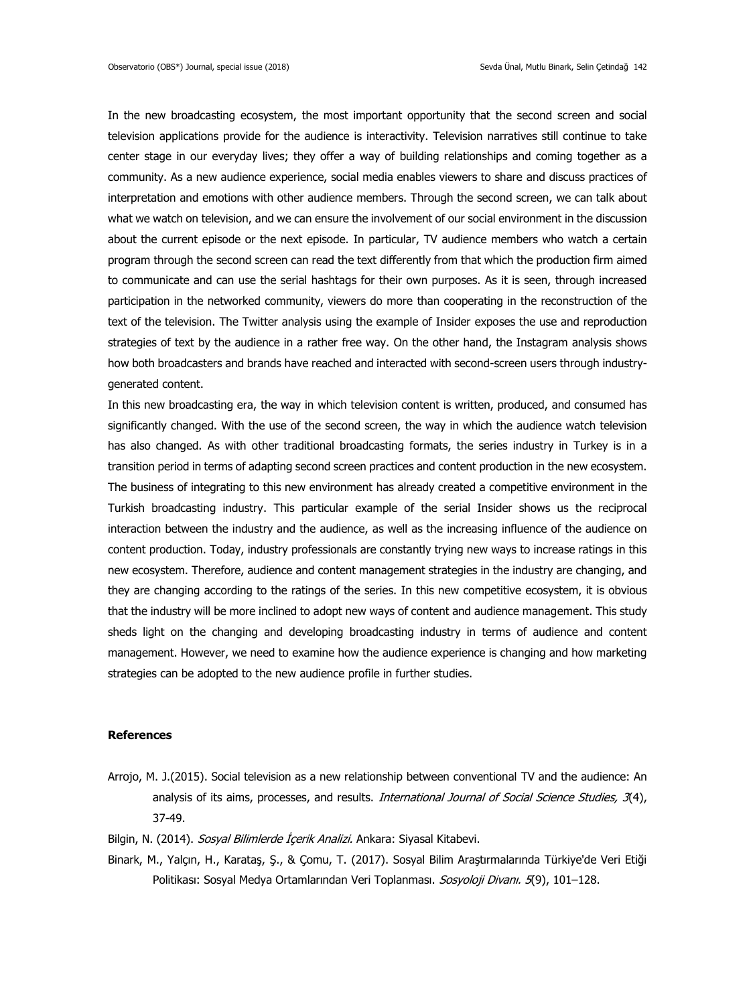In the new broadcasting ecosystem, the most important opportunity that the second screen and social television applications provide for the audience is interactivity. Television narratives still continue to take center stage in our everyday lives; they offer a way of building relationships and coming together as a community. As a new audience experience, social media enables viewers to share and discuss practices of interpretation and emotions with other audience members. Through the second screen, we can talk about what we watch on television, and we can ensure the involvement of our social environment in the discussion about the current episode or the next episode. In particular, TV audience members who watch a certain program through the second screen can read the text differently from that which the production firm aimed to communicate and can use the serial hashtags for their own purposes. As it is seen, through increased participation in the networked community, viewers do more than cooperating in the reconstruction of the text of the television. The Twitter analysis using the example of Insider exposes the use and reproduction strategies of text by the audience in a rather free way. On the other hand, the Instagram analysis shows how both broadcasters and brands have reached and interacted with second-screen users through industrygenerated content.

In this new broadcasting era, the way in which television content is written, produced, and consumed has significantly changed. With the use of the second screen, the way in which the audience watch television has also changed. As with other traditional broadcasting formats, the series industry in Turkey is in a transition period in terms of adapting second screen practices and content production in the new ecosystem. The business of integrating to this new environment has already created a competitive environment in the Turkish broadcasting industry. This particular example of the serial Insider shows us the reciprocal interaction between the industry and the audience, as well as the increasing influence of the audience on content production. Today, industry professionals are constantly trying new ways to increase ratings in this new ecosystem. Therefore, audience and content management strategies in the industry are changing, and they are changing according to the ratings of the series. In this new competitive ecosystem, it is obvious that the industry will be more inclined to adopt new ways of content and audience management. This study sheds light on the changing and developing broadcasting industry in terms of audience and content management. However, we need to examine how the audience experience is changing and how marketing strategies can be adopted to the new audience profile in further studies.

## **References**

- Arrojo, M. J.(2015). Social television as a new relationship between conventional TV and the audience: An analysis of its aims, processes, and results. *International Journal of Social Science Studies, 3*(4), 37-49.
- Bilgin, N. (2014). Sosyal Bilimlerde İçerik Analizi. Ankara: Siyasal Kitabevi.
- Binark, M., Yalçın, H., Karataş, Ş., & Çomu, T. (2017). Sosyal Bilim Araştırmalarında Türkiye'de Veri Etiği Politikası: Sosyal Medya Ortamlarından Veri Toplanması. Sosyoloji Divanı. 5(9), 101-128.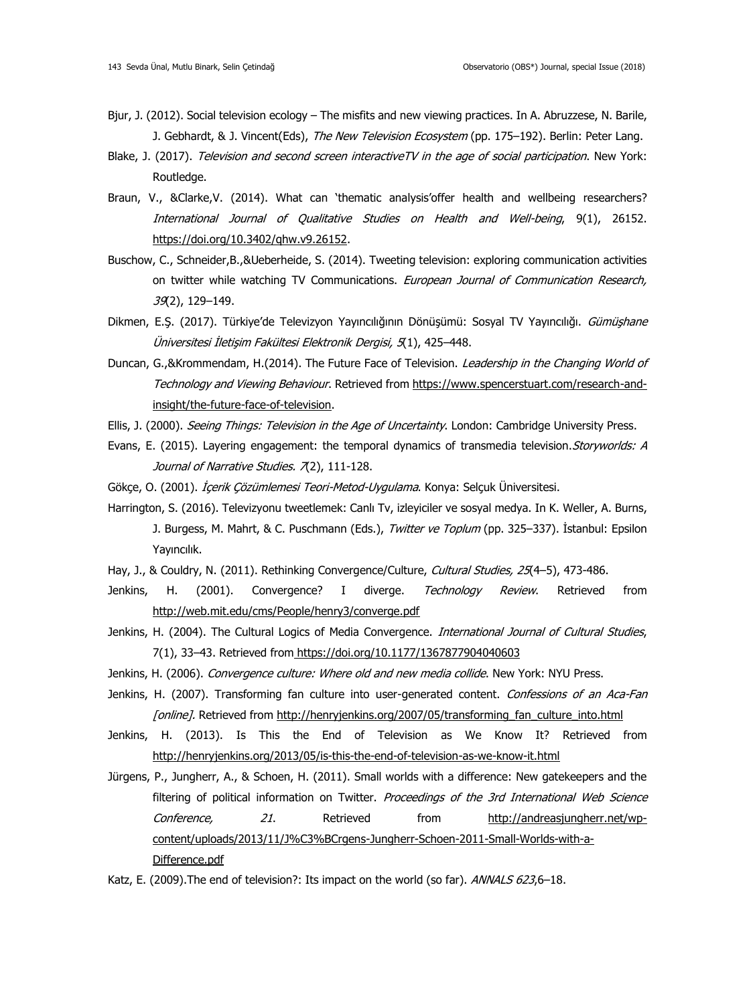- Bjur, J. (2012). Social television ecology The misfits and new viewing practices. In A. Abruzzese, N. Barile, J. Gebhardt, & J. Vincent(Eds), The New Television Ecosystem (pp. 175–192). Berlin: Peter Lang.
- Blake, J. (2017). Television and second screen interactiveTV in the age of social participation. New York: Routledge.
- Braun, V., &Clarke,V. (2014). What can 'thematic analysis'offer health and wellbeing researchers? International Journal of Qualitative Studies on Health and Well-being, 9(1), 26152. [https://doi.org/10.3402/qhw.v9.26152.](https://doi.org/10.3402/qhw.v9.26152)
- Buschow, C., Schneider,B.,&Ueberheide, S. (2014). Tweeting television: exploring communication activities on twitter while watching TV Communications. European Journal of Communication Research, 39(2), 129–149.
- Dikmen, E.S. (2017). Türkiye'de Televizyon Yayıncılığının Dönüşümü: Sosyal TV Yayıncılığı. Gümüshane Üniversitesi İletişim Fakültesi Elektronik Dergisi, <sup>5</sup>(1), 425–448.
- Duncan, G.,&Krommendam, H.(2014). The Future Face of Television. Leadership in the Changing World of Technology and Viewing Behaviour. Retrieved from [https://www.spencerstuart.com/research-and](https://www.spencerstuart.com/research-and-insight/the-future-face-of-television)[insight/the-future-face-of-television.](https://www.spencerstuart.com/research-and-insight/the-future-face-of-television)
- Ellis, J. (2000). Seeing Things: Television in the Age of Uncertainty. London: Cambridge University Press.
- Evans, E. (2015). Layering engagement: the temporal dynamics of transmedia television. Storyworlds: A Journal of Narrative Studies. 7(2), 111-128.
- Gökçe, O. (2001). *İçerik Çözümlemesi Teori-Metod-Uygulama*. Konya: Selçuk Üniversitesi.
- Harrington, S. (2016). Televizyonu tweetlemek: Canlı Tv, izleyiciler ve sosyal medya. In K. Weller, A. Burns, J. Burgess, M. Mahrt, & C. Puschmann (Eds.), *Twitter ve Toplum* (pp. 325–337). İstanbul: Epsilon Yayıncılık.
- Hay, J., & Couldry, N. (2011). Rethinking Convergence/Culture, Cultural Studies, 25(4-5), 473-486.
- Jenkins, H. (2001). Convergence? I diverge. Technology Review. Retrieved from <http://web.mit.edu/cms/People/henry3/converge.pdf>
- Jenkins, H. (2004). The Cultural Logics of Media Convergence. International Journal of Cultural Studies, 7(1), 33–43. Retrieved from [https://doi.org/10.1177/1367877904040603](https://doi.org/10.1177%2F1367877904040603)
- Jenkins, H. (2006). Convergence culture: Where old and new media collide. New York: NYU Press.
- Jenkins, H. (2007). Transforming fan culture into user-generated content. Confessions of an Aca-Fan [online]. Retrieved from http://henryjenkins.org/2007/05/transforming fan\_culture\_into.html
- Jenkins, H. (2013). Is This the End of Television as We Know It? Retrieved from <http://henryjenkins.org/2013/05/is-this-the-end-of-television-as-we-know-it.html>
- Jürgens, P., Jungherr, A., & Schoen, H. (2011). Small worlds with a difference: New gatekeepers and the filtering of political information on Twitter. Proceedings of the 3rd International Web Science Conference, 21. Retrieved from [http://andreasjungherr.net/wp](http://andreasjungherr.net/wp-content/uploads/2013/11/J%C3%BCrgens-Jungherr-Schoen-2011-Small-Worlds-with-a-Difference.pdf)[content/uploads/2013/11/J%C3%BCrgens-Jungherr-Schoen-2011-Small-Worlds-with-a-](http://andreasjungherr.net/wp-content/uploads/2013/11/J%C3%BCrgens-Jungherr-Schoen-2011-Small-Worlds-with-a-Difference.pdf)[Difference.pdf](http://andreasjungherr.net/wp-content/uploads/2013/11/J%C3%BCrgens-Jungherr-Schoen-2011-Small-Worlds-with-a-Difference.pdf)
- Katz, E. (2009). The end of television?: Its impact on the world (so far). ANNALS 623,6-18.